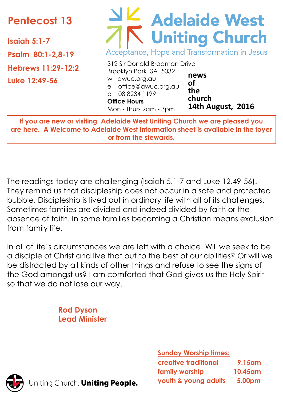# **Pentecost 13**

**Isaiah 5:1-7**

**Psalm 80:1-2,8-19**

**Hebrews 11:29-12:2**

**Luke 12:49-56**

# Adelaide West Acceptance, Hope and Transformation in Jesus

312 Sir Donald Bradman Drive Brooklyn Park SA 5032 w awuc.org.au e office@awuc.org.au p 08 8234 1199 **Office Hours**  Mon - Thurs 9am - 3pm **news of the church 14th August, 2016**

**If you are new or visiting Adelaide West Uniting Church we are pleased you are here. A Welcome to Adelaide West information sheet is available in the foyer or from the stewards.**

The readings today are challenging (Isaiah 5.1-7 and Luke 12.49-56). They remind us that discipleship does not occur in a safe and protected bubble. Discipleship is lived out in ordinary life with all of its challenges. Sometimes families are divided and indeed divided by faith or the absence of faith. In some families becoming a Christian means exclusion from family life.

In all of life's circumstances we are left with a choice. Will we seek to be a disciple of Christ and live that out to the best of our abilities? Or will we be distracted by all kinds of other things and refuse to see the signs of the God amongst us? I am comforted that God gives us the Holy Spirit so that we do not lose our way.

> **Rod Dyson Lead Minister**

> > **Sunday Worship times:**

| <b>creative traditional</b> | <b>9.15am</b>       |
|-----------------------------|---------------------|
| family worship              | 10.45 <sub>am</sub> |
| youth & young adults        | 5.00pm              |



Jniting Church. Uniting People.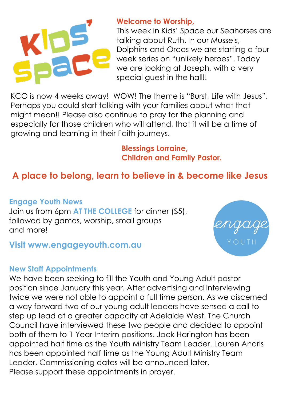

### **Welcome to Worship,**

This week in Kids' Space our Seahorses are talking about Ruth. In our Mussels, Dolphins and Orcas we are starting a four week series on "unlikely heroes". Today we are looking at Joseph, with a very special guest in the hall!!

KCO is now 4 weeks away! WOW! The theme is "Burst, Life with Jesus". Perhaps you could start talking with your families about what that might mean!! Please also continue to pray for the planning and especially for those children who will attend, that it will be a time of growing and learning in their Faith journeys.

> **Blessings Lorraine, Children and Family Pastor.**

# **A place to belong, learn to believe in & become like Jesus**

### **Engage Youth News**

Join us from 6pm **AT THE COLLEGE** for dinner (\$5), followed by games, worship, small groups and more!

### **Visit www.engageyouth.com.au**

#### **New Staff Appointments**

We have been seeking to fill the Youth and Young Adult pastor position since January this year. After advertising and interviewing twice we were not able to appoint a full time person. As we discerned a way forward two of our young adult leaders have sensed a call to step up lead at a greater capacity at Adelaide West. The Church Council have interviewed these two people and decided to appoint both of them to 1 Year Interim positions. Jack Harington has been appointed half time as the Youth Ministry Team Leader. Lauren Andris has been appointed half time as the Young Adult Ministry Team Leader. Commissioning dates will be announced later. Please support these appointments in prayer.

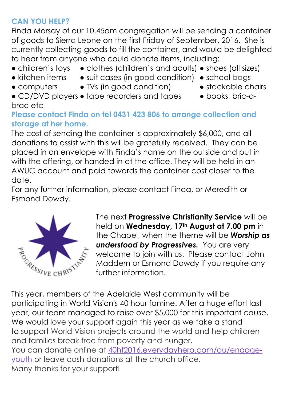# **CAN YOU HELP?**

Finda Morsay of our 10.45am congregation will be sending a container of goods to Sierra Leone on the first Friday of September, 2016. She is currently collecting goods to fill the container, and would be delighted to hear from anyone who could donate items, including:

- children's toys clothes (children's and adults) shoes (all sizes)
- kitchen items suit cases (in good condition) school bags
- computers TVs (in good condition) stackable chairs
	-
- CD/DVD players tape recorders and tapes • books, bric-a-

# brac etc

## **Please contact Finda on tel 0431 423 806 to arrange collection and storage at her home.**

The cost of sending the container is approximately \$6,000, and all donations to assist with this will be gratefully received. They can be placed in an envelope with Finda's name on the outside and put in with the offering, or handed in at the office. They will be held in an AWUC account and paid towards the container cost closer to the date.

For any further information, please contact Finda, or Meredith or Esmond Dowdy.



The next **Progressive Christianity Service** will be held on **Wednesday, 17th August at 7.00 pm** in the Chapel, when the theme will be *Worship as understood by Progressives.* You are very welcome to join with us. Please contact John Maddern or Esmond Dowdy if you require any further information.

This year, members of the Adelaide West community will be participating in World Vision's 40 hour famine. After a huge effort last year, our team managed to raise over \$5,000 for this important cause. We would love your support again this year as we take a stand to support World Vision projects around the world and help children and families break free from poverty and hunger. You can donate online at [40hf2016.everydayhero.com/au/engage](http://40hf2016.everydayhero.com/au/engage-youth)[youth](http://40hf2016.everydayhero.com/au/engage-youth) or leave cash donations at the church office. Many thanks for your support!

- 
-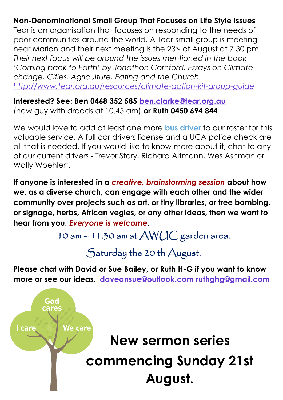## **Non-Denominational Small Group That Focuses on Life Style Issues**

Tear is an organisation that focuses on responding to the needs of poor communities around the world. A Tear small group is meeting near Marion and their next meeting is the 23rd of August at 7.30 pm. *Their next focus will be around the issues mentioned in the book 'Coming back to Earth' by Jonathon Cornford. Essays on Climate change, Cities, Agriculture, Eating and the Church. <http://www.tear.org.au/resources/climate-action-kit-group-guide>*

**Interested? See: Ben 0468 352 585 [ben.clarke@tear.org.au](mailto:ben.clarke@tear.org.au)** (new guy with dreads at 10.45 am) **or Ruth 0450 694 844**

We would love to add at least one more **bus driver** to our roster for this valuable service. A full car drivers license and a UCA police check are all that is needed. If you would like to know more about it, chat to any of our current drivers - Trevor Story, Richard Altmann, Wes Ashman or Wally Woehlert.

**If anyone is interested in a** *creative, brainstorming session* **about how we, as a diverse church, can engage with each other and the wider community over projects such as art, or tiny libraries, or tree bombing, or signage, herbs, African vegies, or any other ideas, then we want to hear from you.** *Everyone is welcome***.**

10 am – 11.30 am at AWUC garden area.

Saturday the 20 th August.

**Please chat with David or Sue Bailey, or Ruth H-G if you want to know more or see our ideas. [daveansue@outlook.com](mailto:daveansue@outlook.com) [ruthghg@gmail.com](mailto:ruthghg@gmail.com)**

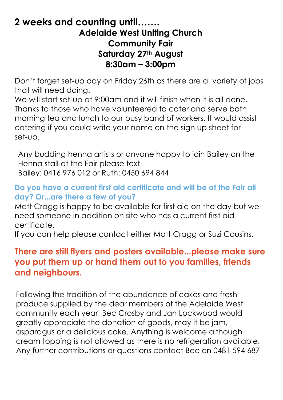# **2 weeks and counting until……. Adelaide West Uniting Church Community Fair Saturday 27th August 8:30am – 3:00pm**

Don't forget set-up day on Friday 26th as there are a variety of jobs that will need doing.

We will start set-up at 9:00am and it will finish when it is all done. Thanks to those who have volunteered to cater and serve both morning tea and lunch to our busy band of workers. It would assist catering if you could write your name on the sign up sheet for set-up.

Any budding henna artists or anyone happy to join Bailey on the Henna stall at the Fair please text Bailey: 0416 976 012 or Ruth: 0450 694 844

### **Do you have a current first aid certificate and will be at the Fair all day? Or...are there a few of you?**

Matt Cragg is happy to be available for first aid on the day but we need someone in addition on site who has a current first aid certificate.

If you can help please contact either Matt Cragg or Suzi Cousins.

# **There are still flyers and posters available...please make sure you put them up or hand them out to you families, friends and neighbours.**

Following the tradition of the abundance of cakes and fresh produce supplied by the dear members of the Adelaide West community each year, Bec Crosby and Jan Lockwood would greatly appreciate the donation of goods, may it be jam, asparagus or a delicious cake. Anything is welcome although cream topping is not allowed as there is no refrigeration available. Any further contributions or questions contact Bec on 0481 594 687